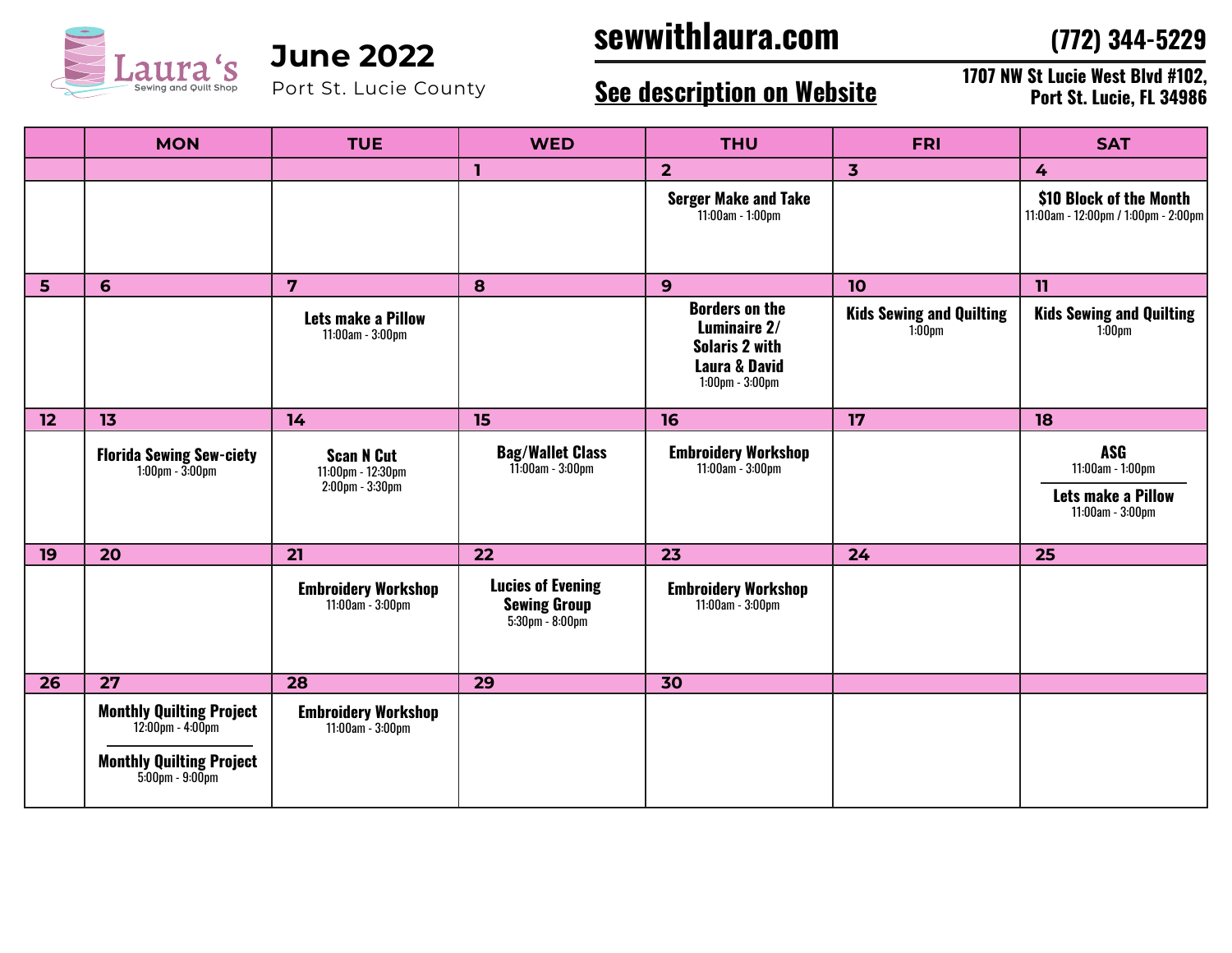

Port St. Lucie County

## **sewwithlaura.com June 2022**

**(772) 344-5229**

### **See description on Website**

**1707 NW St Lucie West Blvd #102, Port St. Lucie, FL 34986**

|                 | <b>MON</b>                                                                                                                                    | <b>TUE</b>                                                | <b>WED</b>                                                                           | <b>THU</b>                                                                                                          | <b>FRI</b>                                   | <b>SAT</b>                                                                      |
|-----------------|-----------------------------------------------------------------------------------------------------------------------------------------------|-----------------------------------------------------------|--------------------------------------------------------------------------------------|---------------------------------------------------------------------------------------------------------------------|----------------------------------------------|---------------------------------------------------------------------------------|
|                 |                                                                                                                                               |                                                           | ı                                                                                    | $\overline{2}$                                                                                                      | $\overline{\mathbf{3}}$                      | 4                                                                               |
|                 |                                                                                                                                               |                                                           |                                                                                      | <b>Serger Make and Take</b><br>11:00am - 1:00pm                                                                     |                                              | \$10 Block of the Month<br>11:00am - 12:00pm / 1:00pm - 2:00pm                  |
| 5               | 6                                                                                                                                             | $\overline{7}$                                            | 8                                                                                    | 9                                                                                                                   | 10                                           | 11                                                                              |
|                 |                                                                                                                                               | <b>Lets make a Pillow</b><br>11:00am - 3:00pm             |                                                                                      | <b>Borders on the</b><br>Luminaire 2/<br><b>Solaris 2 with</b><br><b>Laura &amp; David</b><br>$1:00$ pm - $3:00$ pm | <b>Kids Sewing and Quilting</b><br>$1:00$ pm | <b>Kids Sewing and Quilting</b><br>$1:00$ pm                                    |
| 12              | 13                                                                                                                                            | 14                                                        | 15                                                                                   | 16                                                                                                                  | 17                                           | 18                                                                              |
|                 | <b>Florida Sewing Sew-ciety</b><br>$1:00 \text{pm} - 3:00 \text{pm}$                                                                          | <b>Scan N Cut</b><br>11:00pm - 12:30pm<br>2:00pm - 3:30pm | <b>Bag/Wallet Class</b><br>11:00am - 3:00pm                                          | <b>Embroidery Workshop</b><br>11:00am - 3:00pm                                                                      |                                              | <b>ASG</b><br>11:00am - 1:00pm<br><b>Lets make a Pillow</b><br>11:00am - 3:00pm |
| 19              | 20                                                                                                                                            | 21                                                        | 22                                                                                   | 23                                                                                                                  | 24                                           | 25                                                                              |
|                 |                                                                                                                                               | <b>Embroidery Workshop</b><br>11:00am - 3:00pm            | <b>Lucies of Evening</b><br><b>Sewing Group</b><br>$5:30 \text{pm} - 8:00 \text{pm}$ | <b>Embroidery Workshop</b><br>11:00am - 3:00pm                                                                      |                                              |                                                                                 |
| $\overline{26}$ | $\overline{27}$                                                                                                                               | $\overline{28}$                                           | $\overline{29}$                                                                      | $\overline{30}$                                                                                                     |                                              |                                                                                 |
|                 | <b>Monthly Quilting Project</b><br>$12:00 \text{pm} - 4:00 \text{pm}$<br><b>Monthly Quilting Project</b><br>$5:00 \text{pm} - 9:00 \text{pm}$ | <b>Embroidery Workshop</b><br>11:00am - 3:00pm            |                                                                                      |                                                                                                                     |                                              |                                                                                 |